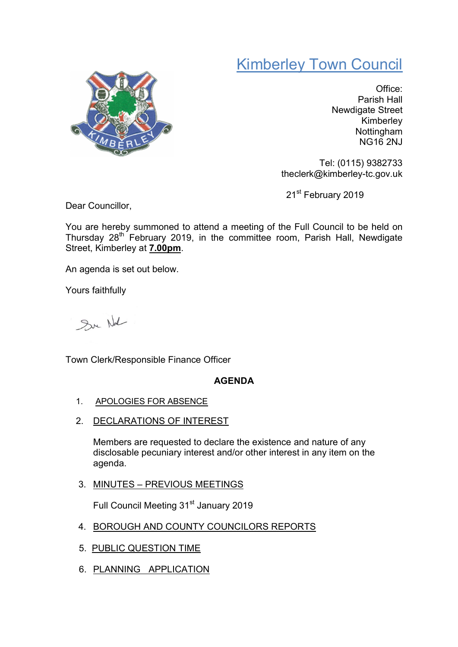# Kimberley Town Council



Office: Parish Hall Newdigate Street Kimberley Nottingham NG16 2NJ

Tel: (0115) 9382733 theclerk@kimberley-tc.gov.uk

21st February 2019

Dear Councillor,

You are hereby summoned to attend a meeting of the Full Council to be held on Thursday 28<sup>th</sup> February 2019, in the committee room, Parish Hall, Newdigate Street, Kimberley at 7.00pm.

An agenda is set out below.

Yours faithfully

Sur Not

Town Clerk/Responsible Finance Officer

# AGENDA

- 1. APOLOGIES FOR ABSENCE
- 2. DECLARATIONS OF INTEREST

Members are requested to declare the existence and nature of any disclosable pecuniary interest and/or other interest in any item on the agenda.

3. MINUTES – PREVIOUS MEETINGS

Full Council Meeting 31<sup>st</sup> January 2019

- 4. BOROUGH AND COUNTY COUNCILORS REPORTS
- 5. PUBLIC QUESTION TIME
- 6. PLANNING APPLICATION